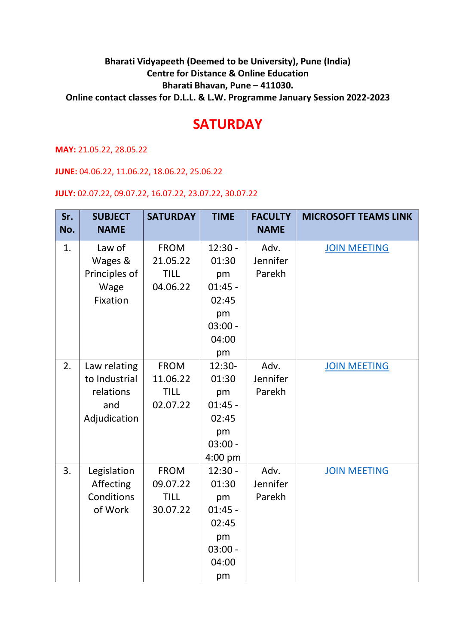## **Bharati Vidyapeeth (Deemed to be University), Pune (India) Centre for Distance & Online Education Bharati Bhavan, Pune – 411030. Online contact classes for D.L.L. & L.W. Programme January Session 2022-2023**

## **SATURDAY**

**MAY:** 21.05.22, 28.05.22

**JUNE:** 04.06.22, 11.06.22, 18.06.22, 25.06.22

**JULY:** 02.07.22, 09.07.22, 16.07.22, 23.07.22, 30.07.22

| Sr.<br>No. | <b>SUBJECT</b><br><b>NAME</b> | <b>SATURDAY</b> | <b>TIME</b> | <b>FACULTY</b><br><b>NAME</b> | <b>MICROSOFT TEAMS LINK</b> |
|------------|-------------------------------|-----------------|-------------|-------------------------------|-----------------------------|
|            |                               |                 |             |                               |                             |
| 1.         | Law of                        | <b>FROM</b>     | $12:30 -$   | Adv.                          | <b>JOIN MEETING</b>         |
|            | Wages &                       | 21.05.22        | 01:30       | Jennifer                      |                             |
|            | Principles of                 | <b>TILL</b>     | pm          | Parekh                        |                             |
|            | Wage                          | 04.06.22        | $01:45 -$   |                               |                             |
|            | Fixation                      |                 | 02:45       |                               |                             |
|            |                               |                 | pm          |                               |                             |
|            |                               |                 | $03:00 -$   |                               |                             |
|            |                               |                 | 04:00       |                               |                             |
|            |                               |                 | pm          |                               |                             |
| 2.         | Law relating                  | <b>FROM</b>     | 12:30-      | Adv.                          | <b>JOIN MEETING</b>         |
|            | to Industrial                 | 11.06.22        | 01:30       | Jennifer                      |                             |
|            | relations                     | <b>TILL</b>     | pm          | Parekh                        |                             |
|            | and                           | 02.07.22        | $01:45 -$   |                               |                             |
|            | Adjudication                  |                 | 02:45       |                               |                             |
|            |                               |                 | pm          |                               |                             |
|            |                               |                 | $03:00 -$   |                               |                             |
|            |                               |                 | $4:00$ pm   |                               |                             |
| 3.         | Legislation                   | <b>FROM</b>     | $12:30 -$   | Adv.                          | <b>JOIN MEETING</b>         |
|            | Affecting                     | 09.07.22        | 01:30       | Jennifer                      |                             |
|            | Conditions                    | <b>TILL</b>     | pm          | Parekh                        |                             |
|            | of Work                       | 30.07.22        | $01:45 -$   |                               |                             |
|            |                               |                 | 02:45       |                               |                             |
|            |                               |                 | pm          |                               |                             |
|            |                               |                 | $03:00 -$   |                               |                             |
|            |                               |                 | 04:00       |                               |                             |
|            |                               |                 | pm          |                               |                             |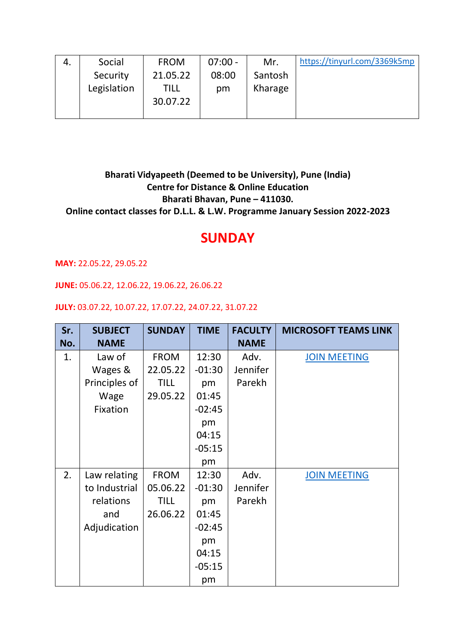| Social      | <b>FROM</b> | 07:00 - | Mr.     | https://tinyurl.com/3369k5mp |
|-------------|-------------|---------|---------|------------------------------|
| Security    | 21.05.22    | 08:00   | Santosh |                              |
| Legislation | TILL        | pm      | Kharage |                              |
|             | 30.07.22    |         |         |                              |
|             |             |         |         |                              |

**Bharati Vidyapeeth (Deemed to be University), Pune (India) Centre for Distance & Online Education Bharati Bhavan, Pune – 411030. Online contact classes for D.L.L. & L.W. Programme January Session 2022-2023**

## **SUNDAY**

**MAY:** 22.05.22, 29.05.22

**JUNE:** 05.06.22, 12.06.22, 19.06.22, 26.06.22

## **JULY:** 03.07.22, 10.07.22, 17.07.22, 24.07.22, 31.07.22

| Sr.<br>No. | <b>SUBJECT</b><br><b>NAME</b> | <b>SUNDAY</b> | <b>TIME</b> | <b>FACULTY</b><br><b>NAME</b> | <b>MICROSOFT TEAMS LINK</b> |
|------------|-------------------------------|---------------|-------------|-------------------------------|-----------------------------|
|            | Law of                        | <b>FROM</b>   | 12:30       | Adv.                          |                             |
| 1.         |                               |               |             |                               | <b>JOIN MEETING</b>         |
|            | Wages &                       | 22.05.22      | $-01:30$    | Jennifer                      |                             |
|            | Principles of                 | <b>TILL</b>   | pm          | Parekh                        |                             |
|            | Wage                          | 29.05.22      | 01:45       |                               |                             |
|            | Fixation                      |               | $-02:45$    |                               |                             |
|            |                               |               | pm          |                               |                             |
|            |                               |               | 04:15       |                               |                             |
|            |                               |               | $-05:15$    |                               |                             |
|            |                               |               | pm          |                               |                             |
| 2.         | Law relating                  | <b>FROM</b>   | 12:30       | Adv.                          | <b>JOIN MEETING</b>         |
|            | to Industrial                 | 05.06.22      | $-01:30$    | Jennifer                      |                             |
|            | relations                     | <b>TILL</b>   | pm          | Parekh                        |                             |
|            | and                           | 26.06.22      | 01:45       |                               |                             |
|            | Adjudication                  |               | $-02:45$    |                               |                             |
|            |                               |               | pm          |                               |                             |
|            |                               |               | 04:15       |                               |                             |
|            |                               |               | $-05:15$    |                               |                             |
|            |                               |               | pm          |                               |                             |